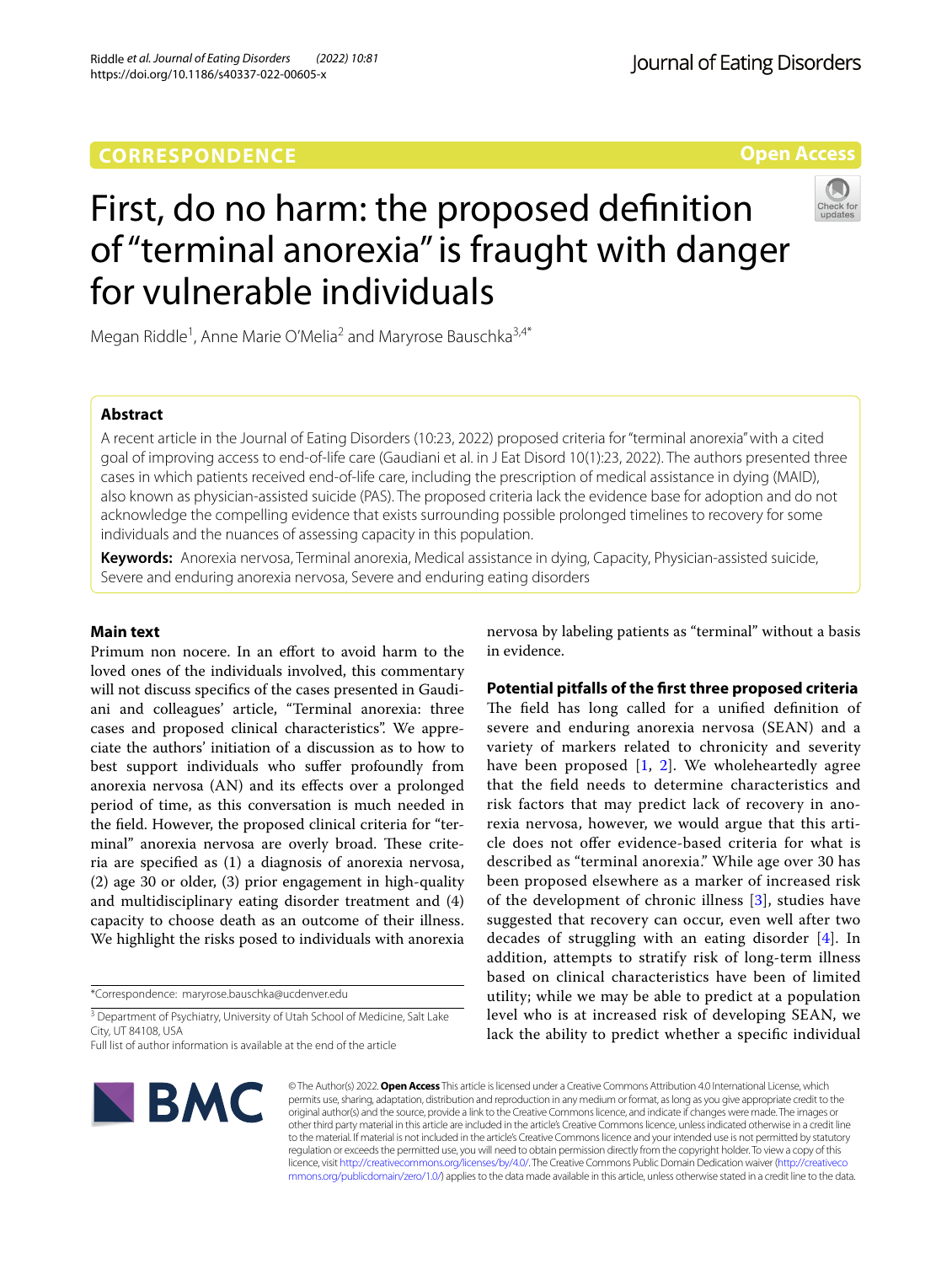### **CORRESPONDENCE**

**Open Access**



# First, do no harm: the proposed defnition of "terminal anorexia" is fraught with danger for vulnerable individuals

Megan Riddle<sup>1</sup>, Anne Marie O'Melia<sup>2</sup> and Maryrose Bauschka<sup>3,4\*</sup>

#### **Abstract**

A recent article in the Journal of Eating Disorders (10:23, 2022) proposed criteria for "terminal anorexia" with a cited goal of improving access to end-of-life care (Gaudiani et al. in J Eat Disord 10(1):23, 2022). The authors presented three cases in which patients received end-of-life care, including the prescription of medical assistance in dying (MAID), also known as physician-assisted suicide (PAS). The proposed criteria lack the evidence base for adoption and do not acknowledge the compelling evidence that exists surrounding possible prolonged timelines to recovery for some individuals and the nuances of assessing capacity in this population.

**Keywords:** Anorexia nervosa, Terminal anorexia, Medical assistance in dying, Capacity, Physician-assisted suicide, Severe and enduring anorexia nervosa, Severe and enduring eating disorders

#### **Main text**

Primum non nocere. In an effort to avoid harm to the loved ones of the individuals involved, this commentary will not discuss specifcs of the cases presented in Gaudiani and colleagues' article, "Terminal anorexia: three cases and proposed clinical characteristics". We appreciate the authors' initiation of a discussion as to how to best support individuals who sufer profoundly from anorexia nervosa (AN) and its efects over a prolonged period of time, as this conversation is much needed in the feld. However, the proposed clinical criteria for "terminal" anorexia nervosa are overly broad. These criteria are specifed as (1) a diagnosis of anorexia nervosa, (2) age 30 or older, (3) prior engagement in high-quality and multidisciplinary eating disorder treatment and (4) capacity to choose death as an outcome of their illness. We highlight the risks posed to individuals with anorexia

\*Correspondence: maryrose.bauschka@ucdenver.edu

<sup>3</sup> Department of Psychiatry, University of Utah School of Medicine, Salt Lake City, UT 84108, USA

Full list of author information is available at the end of the article



nervosa by labeling patients as "terminal" without a basis in evidence.

#### **Potential pitfalls of the frst three proposed criteria**

The field has long called for a unified definition of severe and enduring anorexia nervosa (SEAN) and a variety of markers related to chronicity and severity have been proposed  $[1, 2]$  $[1, 2]$  $[1, 2]$  $[1, 2]$ . We wholeheartedly agree that the feld needs to determine characteristics and risk factors that may predict lack of recovery in anorexia nervosa, however, we would argue that this article does not offer evidence-based criteria for what is described as "terminal anorexia." While age over 30 has been proposed elsewhere as a marker of increased risk of the development of chronic illness [\[3](#page-2-2)], studies have suggested that recovery can occur, even well after two decades of struggling with an eating disorder [\[4](#page-2-3)]. In addition, attempts to stratify risk of long-term illness based on clinical characteristics have been of limited utility; while we may be able to predict at a population level who is at increased risk of developing SEAN, we lack the ability to predict whether a specifc individual

© The Author(s) 2022. **Open Access** This article is licensed under a Creative Commons Attribution 4.0 International License, which permits use, sharing, adaptation, distribution and reproduction in any medium or format, as long as you give appropriate credit to the original author(s) and the source, provide a link to the Creative Commons licence, and indicate if changes were made. The images or other third party material in this article are included in the article's Creative Commons licence, unless indicated otherwise in a credit line to the material. If material is not included in the article's Creative Commons licence and your intended use is not permitted by statutory regulation or exceeds the permitted use, you will need to obtain permission directly from the copyright holder. To view a copy of this licence, visit [http://creativecommons.org/licenses/by/4.0/.](http://creativecommons.org/licenses/by/4.0/) The Creative Commons Public Domain Dedication waiver ([http://creativeco](http://creativecommons.org/publicdomain/zero/1.0/) [mmons.org/publicdomain/zero/1.0/](http://creativecommons.org/publicdomain/zero/1.0/)) applies to the data made available in this article, unless otherwise stated in a credit line to the data.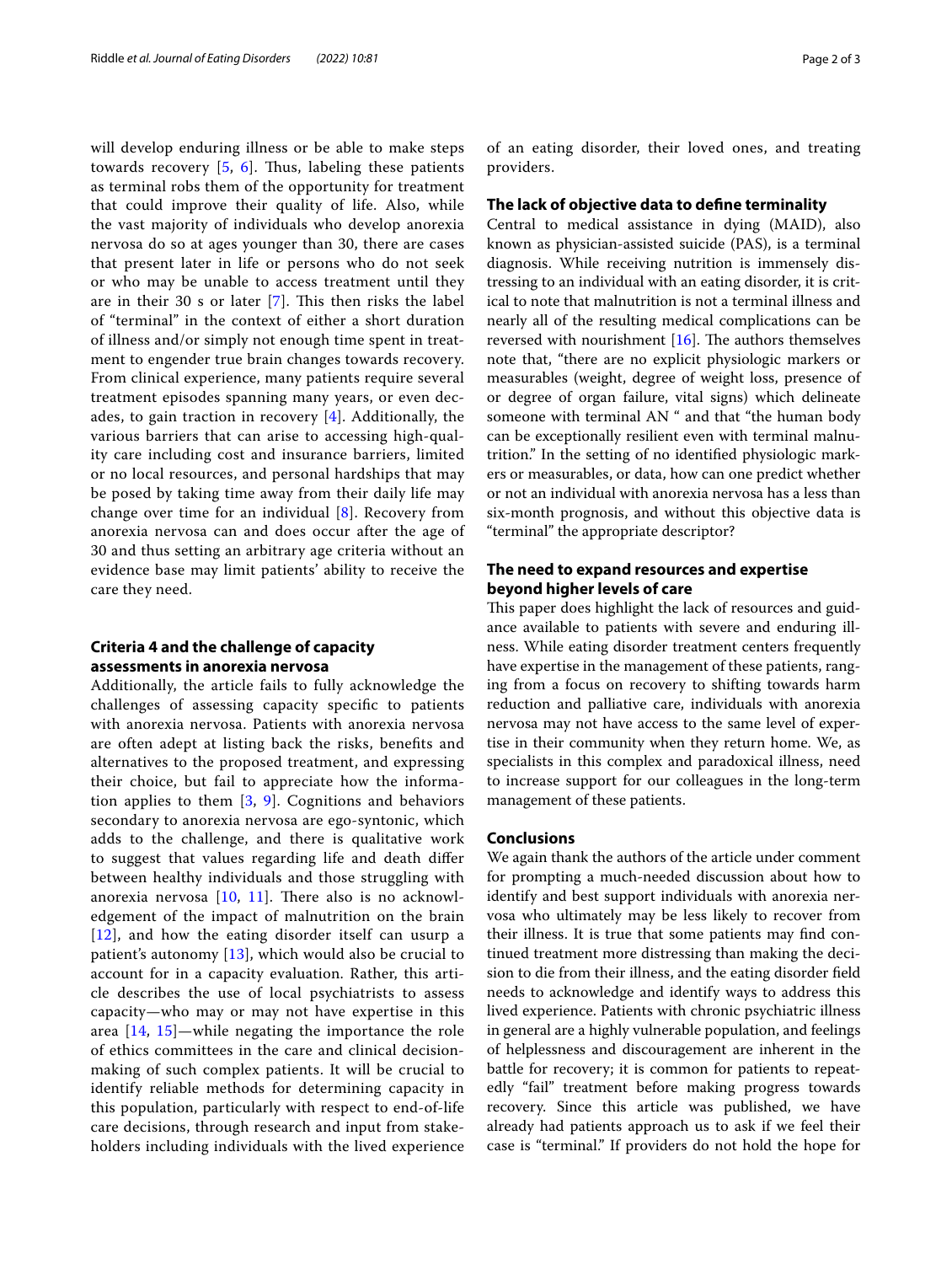will develop enduring illness or be able to make steps towards recovery  $[5, 6]$  $[5, 6]$  $[5, 6]$  $[5, 6]$ . Thus, labeling these patients as terminal robs them of the opportunity for treatment that could improve their quality of life. Also, while the vast majority of individuals who develop anorexia nervosa do so at ages younger than 30, there are cases that present later in life or persons who do not seek or who may be unable to access treatment until they are in their 30  $s$  or later [[7\]](#page-2-6). This then risks the label of "terminal" in the context of either a short duration of illness and/or simply not enough time spent in treatment to engender true brain changes towards recovery. From clinical experience, many patients require several treatment episodes spanning many years, or even decades, to gain traction in recovery [[4\]](#page-2-3). Additionally, the various barriers that can arise to accessing high-quality care including cost and insurance barriers, limited or no local resources, and personal hardships that may be posed by taking time away from their daily life may change over time for an individual [\[8](#page-2-7)]. Recovery from anorexia nervosa can and does occur after the age of 30 and thus setting an arbitrary age criteria without an evidence base may limit patients' ability to receive the care they need.

#### **Criteria 4 and the challenge of capacity assessments in anorexia nervosa**

Additionally, the article fails to fully acknowledge the challenges of assessing capacity specifc to patients with anorexia nervosa. Patients with anorexia nervosa are often adept at listing back the risks, benefts and alternatives to the proposed treatment, and expressing their choice, but fail to appreciate how the information applies to them [\[3](#page-2-2), [9\]](#page-2-8). Cognitions and behaviors secondary to anorexia nervosa are ego-syntonic, which adds to the challenge, and there is qualitative work to suggest that values regarding life and death difer between healthy individuals and those struggling with anorexia nervosa  $[10, 11]$  $[10, 11]$  $[10, 11]$  $[10, 11]$ . There also is no acknowledgement of the impact of malnutrition on the brain [[12](#page-2-11)], and how the eating disorder itself can usurp a patient's autonomy [[13](#page-2-12)], which would also be crucial to account for in a capacity evaluation. Rather, this article describes the use of local psychiatrists to assess capacity—who may or may not have expertise in this area [[14,](#page-2-13) [15](#page-2-14)]—while negating the importance the role of ethics committees in the care and clinical decisionmaking of such complex patients. It will be crucial to identify reliable methods for determining capacity in this population, particularly with respect to end-of-life care decisions, through research and input from stakeholders including individuals with the lived experience of an eating disorder, their loved ones, and treating providers.

#### **The lack of objective data to defne terminality**

Central to medical assistance in dying (MAID), also known as physician-assisted suicide (PAS), is a terminal diagnosis. While receiving nutrition is immensely distressing to an individual with an eating disorder, it is critical to note that malnutrition is not a terminal illness and nearly all of the resulting medical complications can be reversed with nourishment  $[16]$  $[16]$ . The authors themselves note that, "there are no explicit physiologic markers or measurables (weight, degree of weight loss, presence of or degree of organ failure, vital signs) which delineate someone with terminal AN " and that "the human body can be exceptionally resilient even with terminal malnutrition." In the setting of no identifed physiologic markers or measurables, or data, how can one predict whether or not an individual with anorexia nervosa has a less than six-month prognosis, and without this objective data is "terminal" the appropriate descriptor?

#### **The need to expand resources and expertise beyond higher levels of care**

This paper does highlight the lack of resources and guidance available to patients with severe and enduring illness. While eating disorder treatment centers frequently have expertise in the management of these patients, ranging from a focus on recovery to shifting towards harm reduction and palliative care, individuals with anorexia nervosa may not have access to the same level of expertise in their community when they return home. We, as specialists in this complex and paradoxical illness, need to increase support for our colleagues in the long-term management of these patients.

#### **Conclusions**

We again thank the authors of the article under comment for prompting a much-needed discussion about how to identify and best support individuals with anorexia nervosa who ultimately may be less likely to recover from their illness. It is true that some patients may fnd continued treatment more distressing than making the decision to die from their illness, and the eating disorder feld needs to acknowledge and identify ways to address this lived experience. Patients with chronic psychiatric illness in general are a highly vulnerable population, and feelings of helplessness and discouragement are inherent in the battle for recovery; it is common for patients to repeatedly "fail" treatment before making progress towards recovery. Since this article was published, we have already had patients approach us to ask if we feel their case is "terminal." If providers do not hold the hope for